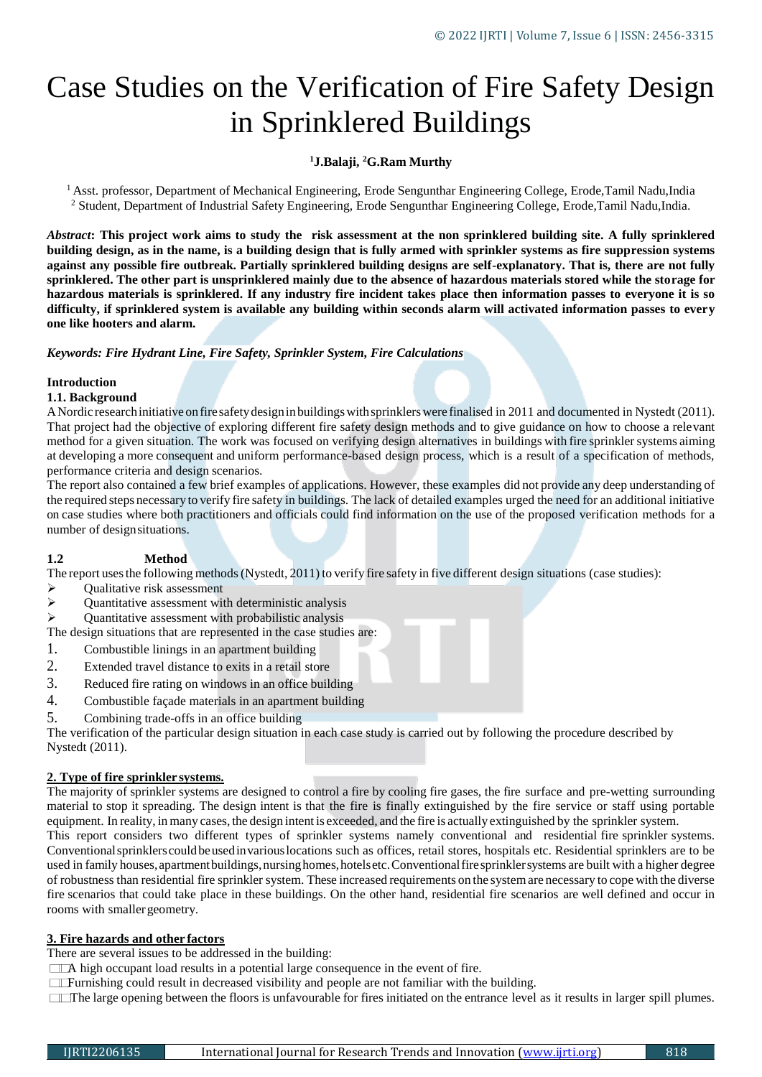# Case Studies on the Verification of Fire Safety Design in Sprinklered Buildings

# **<sup>1</sup>J.Balaji, <sup>2</sup>G.Ram Murthy**

<sup>1</sup> Asst. professor, Department of Mechanical Engineering, Erode Sengunthar Engineering College, Erode,Tamil Nadu,India <sup>2</sup> Student, Department of Industrial Safety Engineering, Erode Sengunthar Engineering College, Erode,Tamil Nadu,India.

*Abstract***: This project work aims to study the risk assessment at the non sprinklered building site. A fully sprinklered building design, as in the name, is a building design that is fully armed with sprinkler systems as fire suppression systems against any possible fire outbreak. Partially sprinklered building designs are self-explanatory. That is, there are not fully sprinklered. The other part is unsprinklered mainly due to the absence of hazardous materials stored while the storage for hazardous materials is sprinklered. If any industry fire incident takes place then information passes to everyone it is so difficulty, if sprinklered system is available any building within seconds alarm will activated information passes to every one like hooters and alarm.**

*Keywords: Fire Hydrant Line, Fire Safety, Sprinkler System, Fire Calculations*

# **Introduction**

#### **1.1. Background**

A Nordic research initiative on fire safety design in buildings with sprinklers were finalised in 2011 and documented in Nystedt (2011). That project had the objective of exploring different fire safety design methods and to give guidance on how to choose a relevant method for a given situation. The work was focused on verifying design alternatives in buildings with fire sprinkler systems aiming at developing a more consequent and uniform performance-based design process, which is a result of a specification of methods, performance criteria and design scenarios.

The report also contained a few brief examples of applications. However, these examples did not provide any deep understanding of the required steps necessary to verify fire safety in buildings. The lack of detailed examples urged the need for an additional initiative on case studies where both practitioners and officials could find information on the use of the proposed verification methods for a number of designsituations.

#### **1.2 Method**

The report uses the following methods (Nystedt, 2011) to verify fire safety in five different design situations (case studies):

- Qualitative risk assessment
- $\triangleright$  Quantitative assessment with deterministic analysis
- Quantitative assessment with probabilistic analysis

The design situations that are represented in the case studies are:

- 1. Combustible linings in an apartment building
- 2. Extended travel distance to exits in a retail store
- 3. Reduced fire rating on windows in an office building
- 4. Combustible façade materials in an apartment building
- 5. Combining trade-offs in an office building

The verification of the particular design situation in each case study is carried out by following the procedure described by Nystedt (2011).

#### **2. Type of fire sprinkler systems.**

The majority of sprinkler systems are designed to control a fire by cooling fire gases, the fire surface and pre-wetting surrounding material to stop it spreading. The design intent is that the fire is finally extinguished by the fire service or staff using portable equipment. In reality, in many cases, the design intent is exceeded, and the fire is actually extinguished by the sprinkler system.

This report considers two different types of sprinkler systems namely conventional and residential fire sprinkler systems. Conventionalsprinklerscouldbeusedinvariouslocations such as offices, retail stores, hospitals etc. Residential sprinklers are to be used in family houses,apartmentbuildings,nursinghomes,hotelsetc.Conventionalfiresprinklersystems are built with a higher degree of robustness than residential fire sprinkler system. These increased requirements on the systemare necessary to cope with the diverse fire scenarios that could take place in these buildings. On the other hand, residential fire scenarios are well defined and occur in rooms with smaller geometry.

#### **3. Fire hazards and other factors**

There are several issues to be addressed in the building:

A high occupant load results in a potential large consequence in the event of fire.

**Furnishing could result in decreased visibility and people are not familiar with the building.** 

The large opening between the floors is unfavourable for fires initiated on the entrance level as it results in larger spill plumes.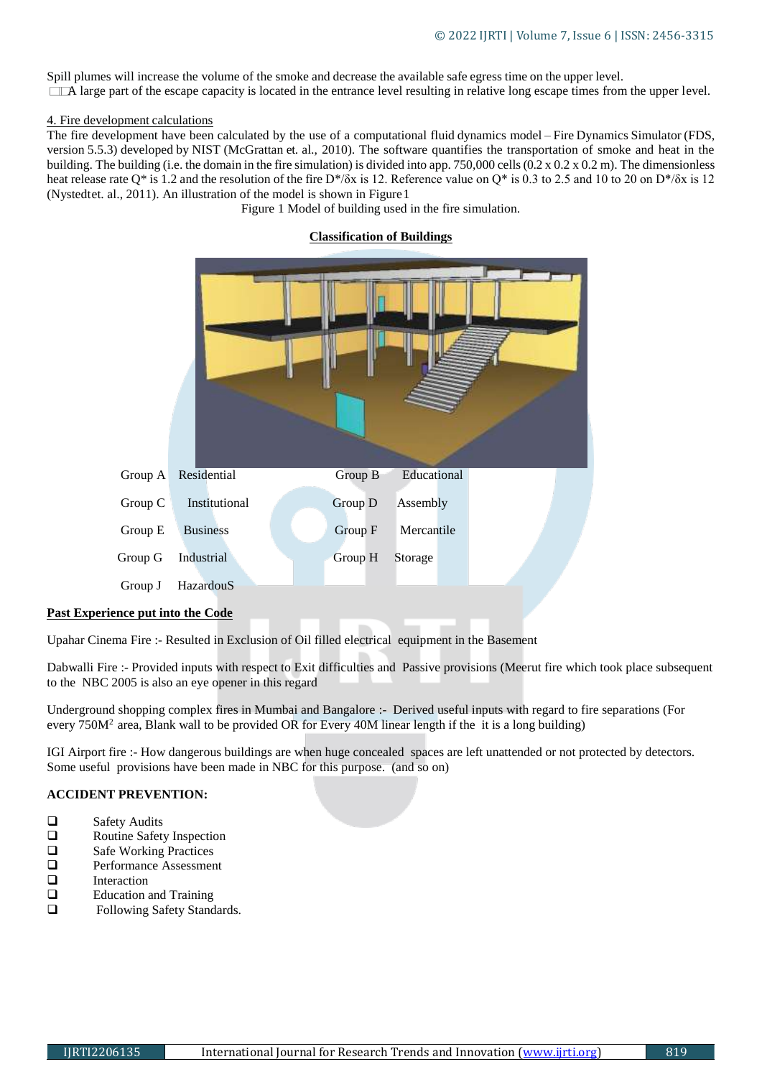Spill plumes will increase the volume of the smoke and decrease the available safe egress time on the upper level. A large part of the escape capacity is located in the entrance level resulting in relative long escape times from the upper level.

#### 4. Fire development calculations

The fire development have been calculated by the use of a computational fluid dynamics model – Fire Dynamics Simulator (FDS, version 5.5.3) developed by NIST (McGrattan et. al., 2010). The software quantifies the transportation of smoke and heat in the building. The building (i.e. the domain in the fire simulation) is divided into app. 750,000 cells (0.2 x 0.2 x 0.2 m). The dimensionless heat release rate Q\* is 1.2 and the resolution of the fire D\*/δx is 12. Reference value on Q\* is 0.3 to 2.5 and 10 to 20 on D\*/δx is 12 (Nystedtet. al., 2011). An illustration of the model is shown in Figure1

Figure 1 Model of building used in the fire simulation.

# Group A Residential Group B Educational Group C Institutional Group D Assembly Group E Business Group F Mercantile Group G Industrial Group H Storage Group J HazardouS

# **Classification of Buildings**

#### **Past Experience put into the Code**

Upahar Cinema Fire :- Resulted in Exclusion of Oil filled electrical equipment in the Basement

Dabwalli Fire :- Provided inputs with respect to Exit difficulties and Passive provisions (Meerut fire which took place subsequent to the NBC 2005 is also an eye opener in this regard

Underground shopping complex fires in Mumbai and Bangalore :- Derived useful inputs with regard to fire separations (For every  $750M<sup>2</sup>$  area, Blank wall to be provided OR for Every 40M linear length if the it is a long building)

IGI Airport fire :- How dangerous buildings are when huge concealed spaces are left unattended or not protected by detectors. Some useful provisions have been made in NBC for this purpose. (and so on)

#### **ACCIDENT PREVENTION:**

- □ Safety Audits
- □ Routine Safety Inspection
- □ Safe Working Practices<br>□ Performance Assessmer
- Performance Assessment
- $\Box$  Interaction
- $\square$  Education and Training<br> $\square$  Eollowing Safety Stand
- Following Safety Standards.